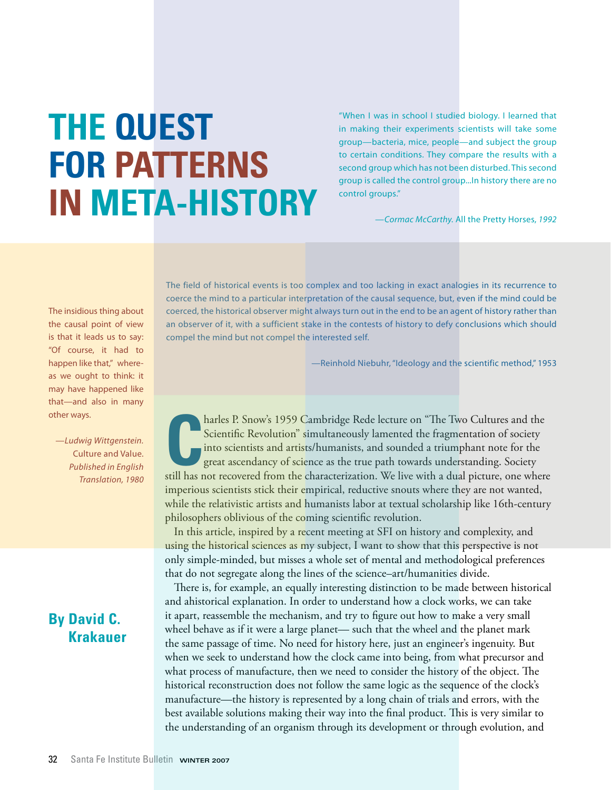# **The Quest for Patterns in Meta-History**

"When I was in school I studied biology. I learned that in making their experiments scientists will take some group—bacteria, mice, people—and subject the group to certain conditions. They compare the results with a second group which has not been disturbed. This second group is called the control group...In history there are no control groups."

*—Cormac McCarthy.* All the Pretty Horses, *1992*

The field of historical events is too complex and too lacking in exact analogies in its recurrence to coerce the mind to a particular interpretation of the causal sequence, but, even if the mind could be coerced, the historical observer might always turn out in the end to be an agent of history rather than an observer of it, with a sufficient stake in the contests of history to defy conclusions which should compel the mind but not compel the interested self.

—Reinhold Niebuhr, "Ideology and the scientific method," 1953

**C**still has not recovered from the characterization. We live with a dual picture, one where the still has not recovered from the characterization. We live with a dual picture, one where harles P. Snow's 1959 Cambridge Rede lecture on "The Two Cultures and the Scientific Revolution" simultaneously lamented the fragmentation of society into scientists and artists/humanists, and sounded a triumphant note for the great ascendancy of science as the true path towards understanding. Society imperious scientists stick their empirical, reductive snouts where they are not wanted, while the relativistic artists and humanists labor at textual scholarship like 16th-century philosophers oblivious of the coming scientific revolution.

In this article, inspired by a recent meeting at SFI on history and complexity, and using the historical sciences as my subject, I want to show that this perspective is not only simple-minded, but misses a whole set of mental and methodological preferences that do not segregate along the lines of the science–art/humanities divide.

There is, for example, an equally interesting distinction to be made between historical and ahistorical explanation. In order to understand how a clock works, we can take it apart, reassemble the mechanism, and try to figure out how to make a very small wheel behave as if it were a large planet— such that the wheel and the planet mark the same passage of time. No need for history here, just an engineer's ingenuity. But when we seek to understand how the clock came into being, from what precursor and what process of manufacture, then we need to consider the history of the object. The historical reconstruction does not follow the same logic as the sequence of the clock's manufacture—the history is represented by a long chain of trials and errors, with the best available solutions making their way into the final product. This is very similar to the understanding of an organism through its development or through evolution, and

The insidious thing about the causal point of view is that it leads us to say: "Of course, it had to happen like that," whereas we ought to think: it may have happened like that—and also in many other ways.

*—Ludwig Wittgenstein.*  Culture and Value. *Published in English Translation, 1980*

### **By David C. Krakauer**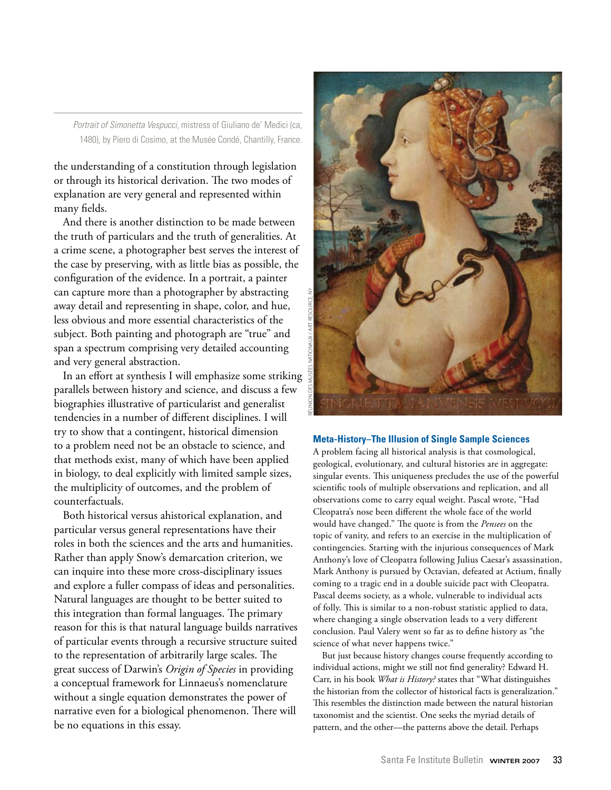*Portrait of Simonetta Vespucci,* mistress of Giuliano de' Medici (ca, 1480), by Piero di Cosimo, at the Musée Condé, Chantilly, France.

the understanding of a constitution through legislation or through its historical derivation. The two modes of explanation are very general and represented within many fields.

And there is another distinction to be made between the truth of particulars and the truth of generalities. At a crime scene, a photographer best serves the interest of the case by preserving, with as little bias as possible, the configuration of the evidence. In a portrait, a painter can capture more than a photographer by abstracting away detail and representing in shape, color, and hue, less obvious and more essential characteristics of the subject. Both painting and photograph are "true" and span a spectrum comprising very detailed accounting and very general abstraction.

In an effort at synthesis I will emphasize some striking parallels between history and science, and discuss a few biographies illustrative of particularist and generalist tendencies in a number of different disciplines. I will try to show that a contingent, historical dimension to a problem need not be an obstacle to science, and that methods exist, many of which have been applied in biology, to deal explicitly with limited sample sizes, the multiplicity of outcomes, and the problem of counterfactuals.

Both historical versus ahistorical explanation, and particular versus general representations have their roles in both the sciences and the arts and humanities. Rather than apply Snow's demarcation criterion, we can inquire into these more cross-disciplinary issues and explore a fuller compass of ideas and personalities. Natural languages are thought to be better suited to this integration than formal languages. The primary reason for this is that natural language builds narratives of particular events through a recursive structure suited to the representation of arbitrarily large scales. The great success of Darwin's *Origin of Species* in providing a conceptual framework for Linnaeus's nomenclature without a single equation demonstrates the power of narrative even for a biological phenomenon. There will be no equations in this essay.



#### **Meta-History–The Illusion of Single Sample Sciences**

A problem facing all historical analysis is that cosmological, geological, evolutionary, and cultural histories are in aggregate: singular events. This uniqueness precludes the use of the powerful scientific tools of multiple observations and replication, and all observations come to carry equal weight. Pascal wrote, "Had Cleopatra's nose been different the whole face of the world would have changed." The quote is from the *Pensees* on the topic of vanity, and refers to an exercise in the multiplication of contingencies. Starting with the injurious consequences of Mark Anthony's love of Cleopatra following Julius Caesar's assassination, Mark Anthony is pursued by Octavian, defeated at Actium, finally coming to a tragic end in a double suicide pact with Cleopatra. Pascal deems society, as a whole, vulnerable to individual acts of folly. This is similar to a non-robust statistic applied to data, where changing a single observation leads to a very different conclusion. Paul Valery went so far as to define history as "the science of what never happens twice."

But just because history changes course frequently according to individual actions, might we still not find generality? Edward H. Carr, in his book *What is History?* states that "What distinguishes the historian from the collector of historical facts is generalization." This resembles the distinction made between the natural historian taxonomist and the scientist. One seeks the myriad details of pattern, and the other—the patterns above the detail. Perhaps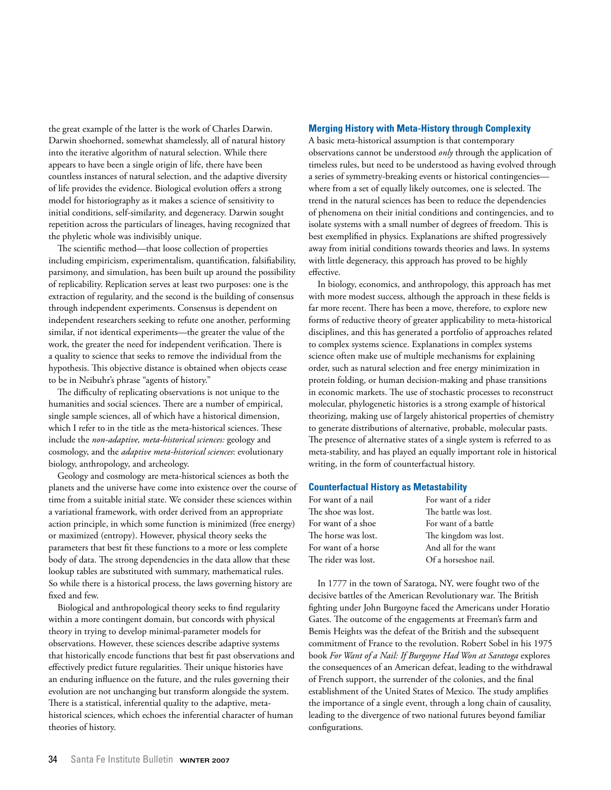the great example of the latter is the work of Charles Darwin. Darwin shoehorned, somewhat shamelessly, all of natural history into the iterative algorithm of natural selection. While there appears to have been a single origin of life, there have been countless instances of natural selection, and the adaptive diversity of life provides the evidence. Biological evolution offers a strong model for historiography as it makes a science of sensitivity to initial conditions, self-similarity, and degeneracy. Darwin sought repetition across the particulars of lineages, having recognized that the phyletic whole was indivisibly unique.

The scientific method—that loose collection of properties including empiricism, experimentalism, quantification, falsifiability, parsimony, and simulation, has been built up around the possibility of replicability. Replication serves at least two purposes: one is the extraction of regularity, and the second is the building of consensus through independent experiments. Consensus is dependent on independent researchers seeking to refute one another, performing similar, if not identical experiments—the greater the value of the work, the greater the need for independent verification. There is a quality to science that seeks to remove the individual from the hypothesis. This objective distance is obtained when objects cease to be in Neibuhr's phrase "agents of history."

The difficulty of replicating observations is not unique to the humanities and social sciences. There are a number of empirical, single sample sciences, all of which have a historical dimension, which I refer to in the title as the meta-historical sciences. These include the *non-adaptive, meta-historical sciences:* geology and cosmology, and the *adaptive meta-historical sciences*: evolutionary biology, anthropology, and archeology.

Geology and cosmology are meta-historical sciences as both the planets and the universe have come into existence over the course of time from a suitable initial state. We consider these sciences within a variational framework, with order derived from an appropriate action principle, in which some function is minimized (free energy) or maximized (entropy). However, physical theory seeks the parameters that best fit these functions to a more or less complete body of data. The strong dependencies in the data allow that these lookup tables are substituted with summary, mathematical rules. So while there is a historical process, the laws governing history are fixed and few.

Biological and anthropological theory seeks to find regularity within a more contingent domain, but concords with physical theory in trying to develop minimal-parameter models for observations. However, these sciences describe adaptive systems that historically encode functions that best fit past observations and effectively predict future regularities. Their unique histories have an enduring influence on the future, and the rules governing their evolution are not unchanging but transform alongside the system. There is a statistical, inferential quality to the adaptive, metahistorical sciences, which echoes the inferential character of human theories of history.

#### **Merging History with Meta-History through Complexity**

A basic meta-historical assumption is that contemporary observations cannot be understood *only* through the application of timeless rules, but need to be understood as having evolved through a series of symmetry-breaking events or historical contingencies where from a set of equally likely outcomes, one is selected. The trend in the natural sciences has been to reduce the dependencies of phenomena on their initial conditions and contingencies, and to isolate systems with a small number of degrees of freedom. This is best exemplified in physics. Explanations are shifted progressively away from initial conditions towards theories and laws. In systems with little degeneracy, this approach has proved to be highly effective.

In biology, economics, and anthropology, this approach has met with more modest success, although the approach in these fields is far more recent. There has been a move, therefore, to explore new forms of reductive theory of greater applicability to meta-historical disciplines, and this has generated a portfolio of approaches related to complex systems science. Explanations in complex systems science often make use of multiple mechanisms for explaining order, such as natural selection and free energy minimization in protein folding, or human decision-making and phase transitions in economic markets. The use of stochastic processes to reconstruct molecular, phylogenetic histories is a strong example of historical theorizing, making use of largely ahistorical properties of chemistry to generate distributions of alternative, probable, molecular pasts. The presence of alternative states of a single system is referred to as meta-stability, and has played an equally important role in historical writing, in the form of counterfactual history.

#### **Counterfactual History as Metastability**

| For want of a nail  | For want of a rider   |
|---------------------|-----------------------|
| The shoe was lost.  | The battle was lost.  |
| For want of a shoe  | For want of a battle  |
| The horse was lost. | The kingdom was lost. |
| For want of a horse | And all for the want  |
| The rider was lost. | Of a horseshoe nail.  |

In 1777 in the town of Saratoga, NY, were fought two of the decisive battles of the American Revolutionary war. The British fighting under John Burgoyne faced the Americans under Horatio Gates. The outcome of the engagements at Freeman's farm and Bemis Heights was the defeat of the British and the subsequent commitment of France to the revolution. Robert Sobel in his 1975 book *For Want of a Nail: If Burgoyne Had Won at Saratoga* explores the consequences of an American defeat, leading to the withdrawal of French support, the surrender of the colonies, and the final establishment of the United States of Mexico. The study amplifies the importance of a single event, through a long chain of causality, leading to the divergence of two national futures beyond familiar configurations.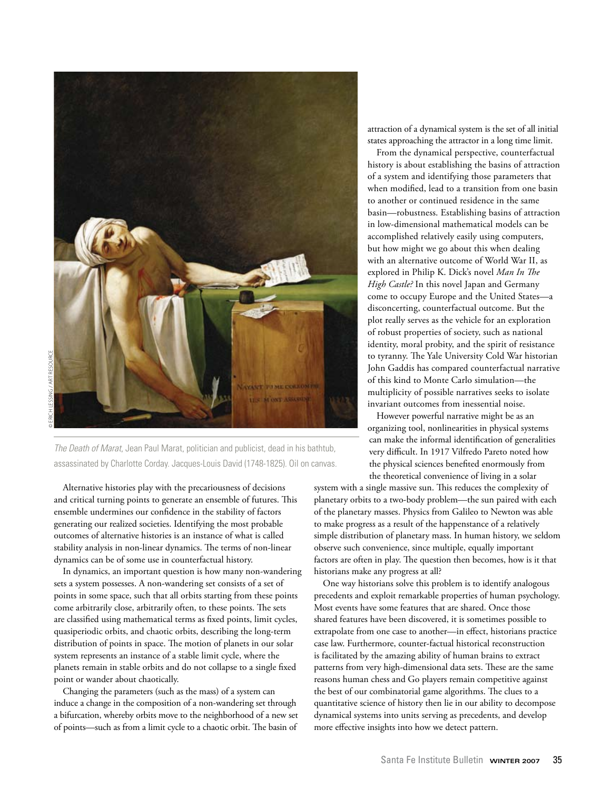

© Erich Lessing / Art Resource**RT RESOURC** 

*The Death of Marat*, Jean Paul Marat, politician and publicist, dead in his bathtub, assassinated by Charlotte Corday. Jacques-Louis David (1748-1825). Oil on canvas.

Alternative histories play with the precariousness of decisions and critical turning points to generate an ensemble of futures. This ensemble undermines our confidence in the stability of factors generating our realized societies. Identifying the most probable outcomes of alternative histories is an instance of what is called stability analysis in non-linear dynamics. The terms of non-linear dynamics can be of some use in counterfactual history.

In dynamics, an important question is how many non-wandering sets a system possesses. A non-wandering set consists of a set of points in some space, such that all orbits starting from these points come arbitrarily close, arbitrarily often, to these points. The sets are classified using mathematical terms as fixed points, limit cycles, quasiperiodic orbits, and chaotic orbits, describing the long-term distribution of points in space. The motion of planets in our solar system represents an instance of a stable limit cycle, where the planets remain in stable orbits and do not collapse to a single fixed point or wander about chaotically.

Changing the parameters (such as the mass) of a system can induce a change in the composition of a non-wandering set through a bifurcation, whereby orbits move to the neighborhood of a new set of points—such as from a limit cycle to a chaotic orbit. The basin of

attraction of a dynamical system is the set of all initial states approaching the attractor in a long time limit.

From the dynamical perspective, counterfactual history is about establishing the basins of attraction of a system and identifying those parameters that when modified, lead to a transition from one basin to another or continued residence in the same basin—robustness. Establishing basins of attraction in low-dimensional mathematical models can be accomplished relatively easily using computers, but how might we go about this when dealing with an alternative outcome of World War II, as explored in Philip K. Dick's novel *Man In The High Castle?* In this novel Japan and Germany come to occupy Europe and the United States—a disconcerting, counterfactual outcome. But the plot really serves as the vehicle for an exploration of robust properties of society, such as national identity, moral probity, and the spirit of resistance to tyranny. The Yale University Cold War historian John Gaddis has compared counterfactual narrative of this kind to Monte Carlo simulation—the multiplicity of possible narratives seeks to isolate invariant outcomes from inessential noise.

However powerful narrative might be as an organizing tool, nonlinearities in physical systems can make the informal identification of generalities very difficult. In 1917 Vilfredo Pareto noted how the physical sciences benefited enormously from the theoretical convenience of living in a solar

system with a single massive sun. This reduces the complexity of planetary orbits to a two-body problem—the sun paired with each of the planetary masses. Physics from Galileo to Newton was able to make progress as a result of the happenstance of a relatively simple distribution of planetary mass. In human history, we seldom observe such convenience, since multiple, equally important factors are often in play. The question then becomes, how is it that historians make any progress at all?

One way historians solve this problem is to identify analogous precedents and exploit remarkable properties of human psychology. Most events have some features that are shared. Once those shared features have been discovered, it is sometimes possible to extrapolate from one case to another—in effect, historians practice case law. Furthermore, counter-factual historical reconstruction is facilitated by the amazing ability of human brains to extract patterns from very high-dimensional data sets. These are the same reasons human chess and Go players remain competitive against the best of our combinatorial game algorithms. The clues to a quantitative science of history then lie in our ability to decompose dynamical systems into units serving as precedents, and develop more effective insights into how we detect pattern.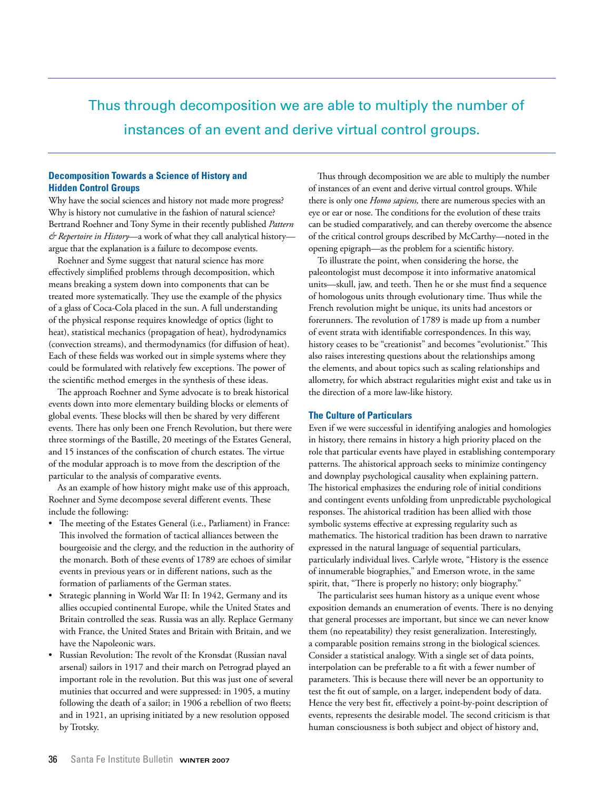## Thus through decomposition we are able to multiply the number of instances of an event and derive virtual control groups.

#### **Decomposition Towards a Science of History and Hidden Control Groups**

Why have the social sciences and history not made more progress? Why is history not cumulative in the fashion of natural science? Bertrand Roehner and Tony Syme in their recently published *Pattern & Repertoire in History*—a work of what they call analytical history argue that the explanation is a failure to decompose events.

Roehner and Syme suggest that natural science has more effectively simplified problems through decomposition, which means breaking a system down into components that can be treated more systematically. They use the example of the physics of a glass of Coca-Cola placed in the sun. A full understanding of the physical response requires knowledge of optics (light to heat), statistical mechanics (propagation of heat), hydrodynamics (convection streams), and thermodynamics (for diffusion of heat). Each of these fields was worked out in simple systems where they could be formulated with relatively few exceptions. The power of the scientific method emerges in the synthesis of these ideas.

The approach Roehner and Syme advocate is to break historical events down into more elementary building blocks or elements of global events. These blocks will then be shared by very different events. There has only been one French Revolution, but there were three stormings of the Bastille, 20 meetings of the Estates General, and 15 instances of the confiscation of church estates. The virtue of the modular approach is to move from the description of the particular to the analysis of comparative events.

As an example of how history might make use of this approach, Roehner and Syme decompose several different events. These include the following:

- The meeting of the Estates General (i.e., Parliament) in France: This involved the formation of tactical alliances between the bourgeoisie and the clergy, and the reduction in the authority of the monarch. Both of these events of 1789 are echoes of similar events in previous years or in different nations, such as the formation of parliaments of the German states.
- Strategic planning in World War II: In 1942, Germany and its allies occupied continental Europe, while the United States and Britain controlled the seas. Russia was an ally. Replace Germany with France, the United States and Britain with Britain, and we have the Napoleonic wars.
- Russian Revolution: The revolt of the Kronsdat (Russian naval arsenal) sailors in 1917 and their march on Petrograd played an important role in the revolution. But this was just one of several mutinies that occurred and were suppressed: in 1905, a mutiny following the death of a sailor; in 1906 a rebellion of two fleets; and in 1921, an uprising initiated by a new resolution opposed by Trotsky.

Thus through decomposition we are able to multiply the number of instances of an event and derive virtual control groups. While there is only one *Homo sapiens,* there are numerous species with an eye or ear or nose. The conditions for the evolution of these traits can be studied comparatively, and can thereby overcome the absence of the critical control groups described by McCarthy*—*noted in the opening epigraph—as the problem for a scientific history*.*

To illustrate the point, when considering the horse, the paleontologist must decompose it into informative anatomical units—skull, jaw, and teeth. Then he or she must find a sequence of homologous units through evolutionary time. Thus while the French revolution might be unique, its units had ancestors or forerunners. The revolution of 1789 is made up from a number of event strata with identifiable correspondences. In this way, history ceases to be "creationist" and becomes "evolutionist." This also raises interesting questions about the relationships among the elements, and about topics such as scaling relationships and allometry, for which abstract regularities might exist and take us in the direction of a more law-like history.

#### **The Culture of Particulars**

Even if we were successful in identifying analogies and homologies in history, there remains in history a high priority placed on the role that particular events have played in establishing contemporary patterns. The ahistorical approach seeks to minimize contingency and downplay psychological causality when explaining pattern. The historical emphasizes the enduring role of initial conditions and contingent events unfolding from unpredictable psychological responses. The ahistorical tradition has been allied with those symbolic systems effective at expressing regularity such as mathematics. The historical tradition has been drawn to narrative expressed in the natural language of sequential particulars, particularly individual lives. Carlyle wrote, "History is the essence of innumerable biographies," and Emerson wrote, in the same spirit, that, "There is properly no history; only biography."

The particularist sees human history as a unique event whose exposition demands an enumeration of events. There is no denying that general processes are important, but since we can never know them (no repeatability) they resist generalization. Interestingly, a comparable position remains strong in the biological sciences. Consider a statistical analogy. With a single set of data points, interpolation can be preferable to a fit with a fewer number of parameters. This is because there will never be an opportunity to test the fit out of sample, on a larger, independent body of data. Hence the very best fit, effectively a point-by-point description of events, represents the desirable model. The second criticism is that human consciousness is both subject and object of history and,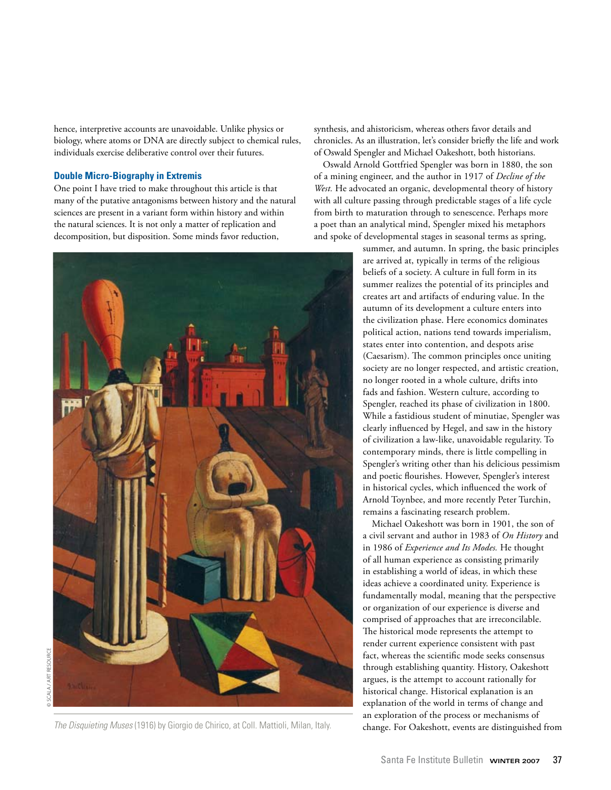hence, interpretive accounts are unavoidable. Unlike physics or biology, where atoms or DNA are directly subject to chemical rules, individuals exercise deliberative control over their futures.

#### **Double Micro-Biography in Extremis**

One point I have tried to make throughout this article is that many of the putative antagonisms between history and the natural sciences are present in a variant form within history and within the natural sciences. It is not only a matter of replication and decomposition, but disposition. Some minds favor reduction,



The Disquieting Muses (1916) by Giorgio de Chirico, at Coll. Mattioli, Milan, Italy. change. For Oakeshott, events are distinguished from

synthesis, and ahistoricism, whereas others favor details and chronicles. As an illustration, let's consider briefly the life and work of Oswald Spengler and Michael Oakeshott, both historians.

Oswald Arnold Gottfried Spengler was born in 1880, the son of a mining engineer, and the author in 1917 of *Decline of the West.* He advocated an organic, developmental theory of history with all culture passing through predictable stages of a life cycle from birth to maturation through to senescence. Perhaps more a poet than an analytical mind, Spengler mixed his metaphors and spoke of developmental stages in seasonal terms as spring,

> summer, and autumn. In spring, the basic principles are arrived at, typically in terms of the religious beliefs of a society. A culture in full form in its summer realizes the potential of its principles and creates art and artifacts of enduring value. In the autumn of its development a culture enters into the civilization phase. Here economics dominates political action, nations tend towards imperialism, states enter into contention, and despots arise (Caesarism). The common principles once uniting society are no longer respected, and artistic creation, no longer rooted in a whole culture, drifts into fads and fashion. Western culture, according to Spengler, reached its phase of civilization in 1800. While a fastidious student of minutiae, Spengler was clearly influenced by Hegel, and saw in the history of civilization a law-like, unavoidable regularity. To contemporary minds, there is little compelling in Spengler's writing other than his delicious pessimism and poetic flourishes. However, Spengler's interest in historical cycles, which influenced the work of Arnold Toynbee, and more recently Peter Turchin, remains a fascinating research problem.

> Michael Oakeshott was born in 1901, the son of a civil servant and author in 1983 of *On History* and in 1986 of *Experience and Its Modes.* He thought of all human experience as consisting primarily in establishing a world of ideas, in which these ideas achieve a coordinated unity. Experience is fundamentally modal, meaning that the perspective or organization of our experience is diverse and comprised of approaches that are irreconcilable. The historical mode represents the attempt to render current experience consistent with past fact, whereas the scientific mode seeks consensus through establishing quantity. History, Oakeshott argues, is the attempt to account rationally for historical change. Historical explanation is an explanation of the world in terms of change and an exploration of the process or mechanisms of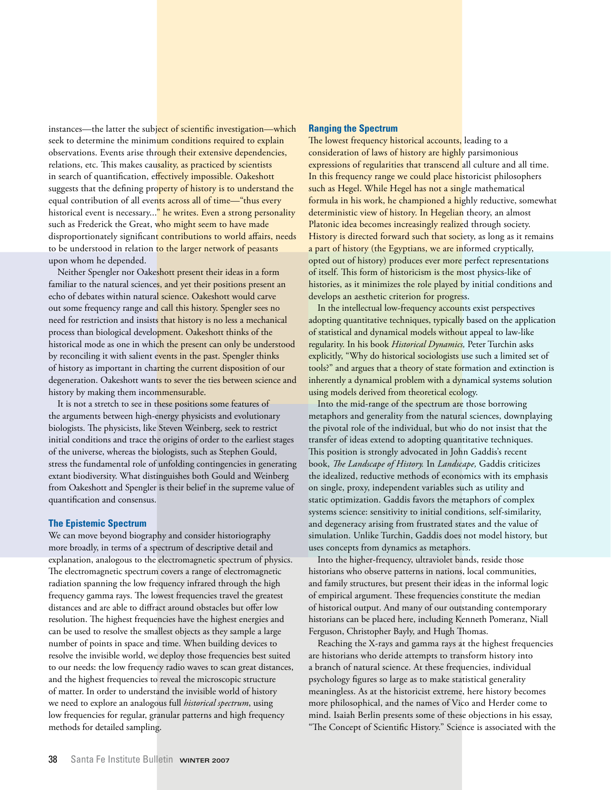instances—the latter the subject of scientific investigation—which seek to determine the minimum conditions required to explain observations. Events arise through their extensive dependencies, relations, etc. This makes causality, as practiced by scientists in search of quantification, effectively impossible. Oakeshott suggests that the defining property of history is to understand the equal contribution of all events across all of time—"thus every historical event is necessary..." he writes. Even a strong personality such as Frederick the Great, who might seem to have made disproportionately significant contributions to world affairs, needs to be understood in relation to the larger network of peasants upon whom he depended.

Neither Spengler nor Oakeshott present their ideas in a form familiar to the natural sciences, and yet their positions present an echo of debates within natural science. Oakeshott would carve out some frequency range and call this history. Spengler sees no need for restriction and insists that history is no less a mechanical process than biological development. Oakeshott thinks of the historical mode as one in which the present can only be understood by reconciling it with salient events in the past. Spengler thinks of history as important in charting the current disposition of our degeneration. Oakeshott wants to sever the ties between science and history by making them incommensurable.

It is not a stretch to see in these positions some features of the arguments between high-energy physicists and evolutionary biologists. The physicists, like Steven Weinberg, seek to restrict initial conditions and trace the origins of order to the earliest stages of the universe, whereas the biologists, such as Stephen Gould, stress the fundamental role of unfolding contingencies in generating extant biodiversity. What distinguishes both Gould and Weinberg from Oakeshott and Spengler is their belief in the supreme value of quantification and consensus.

#### **The Epistemic Spectrum**

We can move beyond biography and consider historiography more broadly, in terms of a spectrum of descriptive detail and explanation, analogous to the electromagnetic spectrum of physics. The electromagnetic spectrum covers a range of electromagnetic radiation spanning the low frequency infrared through the high frequency gamma rays. The lowest frequencies travel the greatest distances and are able to diffract around obstacles but offer low resolution. The highest frequencies have the highest energies and can be used to resolve the smallest objects as they sample a large number of points in space and time. When building devices to resolve the invisible world, we deploy those frequencies best suited to our needs: the low frequency radio waves to scan great distances, and the highest frequencies to reveal the microscopic structure of matter. In order to understand the invisible world of history we need to explore an analogous full *historical spectrum*, using low frequencies for regular, granular patterns and high frequency methods for detailed sampling.

#### **Ranging the Spectrum**

The lowest frequency historical accounts, leading to a consideration of laws of history are highly parsimonious expressions of regularities that transcend all culture and all time. In this frequency range we could place historicist philosophers such as Hegel. While Hegel has not a single mathematical formula in his work, he championed a highly reductive, somewhat deterministic view of history. In Hegelian theory, an almost Platonic idea becomes increasingly realized through society. History is directed forward such that society, as long as it remains a part of history (the Egyptians, we are informed cryptically, opted out of history) produces ever more perfect representations of itself. This form of historicism is the most physics-like of histories, as it minimizes the role played by initial conditions and develops an aesthetic criterion for progress.

In the intellectual low-frequency accounts exist perspectives adopting quantitative techniques, typically based on the application of statistical and dynamical models without appeal to law-like regularity. In his book *Historical Dynamics,* Peter Turchin asks explicitly, "Why do historical sociologists use such a limited set of tools?" and argues that a theory of state formation and extinction is inherently a dynamical problem with a dynamical systems solution using models derived from theoretical ecology.

Into the mid-range of the spectrum are those borrowing metaphors and generality from the natural sciences, downplaying the pivotal role of the individual, but who do not insist that the transfer of ideas extend to adopting quantitative techniques. This position is strongly advocated in John Gaddis's recent book, *The Landscape of History.* In *Landscape,* Gaddis criticizes the idealized, reductive methods of economics with its emphasis on single, proxy, independent variables such as utility and static optimization. Gaddis favors the metaphors of complex systems science: sensitivity to initial conditions, self-similarity, and degeneracy arising from frustrated states and the value of simulation. Unlike Turchin, Gaddis does not model history, but uses concepts from dynamics as metaphors.

Into the higher-frequency, ultraviolet bands, reside those historians who observe patterns in nations, local communities, and family structures, but present their ideas in the informal logic of empirical argument. These frequencies constitute the median of historical output. And many of our outstanding contemporary historians can be placed here, including Kenneth Pomeranz, Niall Ferguson, Christopher Bayly, and Hugh Thomas.

Reaching the X-rays and gamma rays at the highest frequencies are historians who deride attempts to transform history into a branch of natural science. At these frequencies, individual psychology figures so large as to make statistical generality meaningless. As at the historicist extreme, here history becomes more philosophical, and the names of Vico and Herder come to mind. Isaiah Berlin presents some of these objections in his essay, "The Concept of Scientific History." Science is associated with the